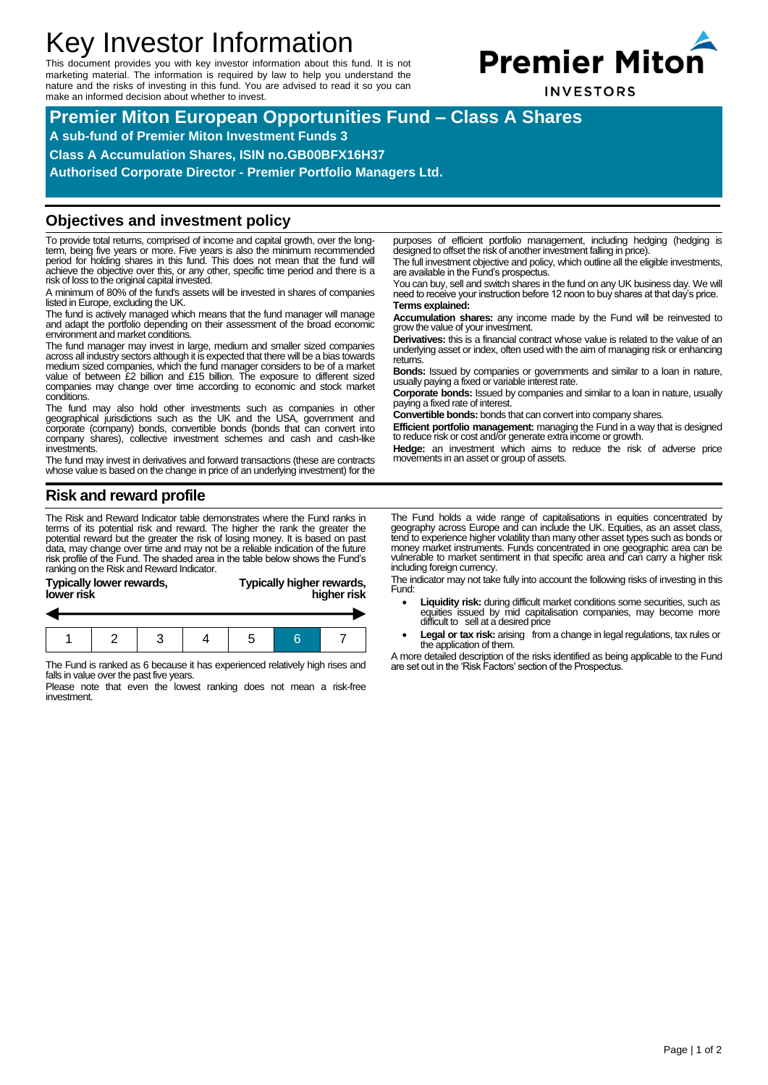# Key Investor Information

This document provides you with key investor information about this fund. It is not marketing material. The information is required by law to help you understand the nature and the risks of investing in this fund. You are advised to read it so you can make an informed decision about whether to invest.



**Premier Miton European Opportunities Fund – Class A Shares**

**A sub-fund of Premier Miton Investment Funds 3**

**Class A Accumulation Shares, ISIN no.GB00BFX16H37**

**Authorised Corporate Director - Premier Portfolio Managers Ltd.**

#### **Objectives and investment policy**

To provide total returns, comprised of income and capital growth, over the longterm, being five years or more. Five years is also the minimum recommended period for holding shares in this fund. This does not mean that the fund will achieve the objective over this, or any other, specific time period and there is a risk of loss to the original capital invested.

A minimum of 80% of the fund's assets will be invested in shares of companies listed in Europe, excluding the UK.

The fund is actively managed which means that the fund manager will manage and adapt the portfolio depending on their assessment of the broad economic environment and market conditions.

The fund manager may invest in large, medium and smaller sized companies across all industry sectors although it is expected that there will be a bias towards<br>medium sized companies, which the fund manager considers to be of a market<br>value of between £2 billion and £15 billion. The exposure to companies may change over time according to economic and stock market conditions.

The fund may also hold other investments such as companies in other geographical jurisdictions such as the UK and the USA, government and corporate (company) bonds, convertible bonds (bonds that can convert into company shares), collective investment schemes and cash and cash-like investments.

The fund may invest in derivatives and forward transactions (these are contracts whose value is based on the change in price of an underlying investment) for the

## **Risk and reward profile**

The Risk and Reward Indicator table demonstrates where the Fund ranks in terms of its potential risk and reward. The higher the rank the greater the potential reward but the greater the risk of losing money. It is based on past data, may change over time and may not be a reliable indication of the future risk profile of the Fund. The shaded area in the table below shows the Fund's ranking on the Risk and Reward Indicator.

| <b>Typically lower rewards,</b><br>lower risk | Typically higher rewards,<br>higher risk |
|-----------------------------------------------|------------------------------------------|
|                                               |                                          |
|                                               |                                          |
|                                               |                                          |

The Fund is ranked as 6 because it has experienced relatively high rises and falls in value over the past five years.

1 2 3 4 5 6 7

Please note that even the lowest ranking does not mean a risk-free investment.

purposes of efficient portfolio management, including hedging (hedging is designed to offset the risk of another investment falling in price).

The full investment objective and policy, which outline all the eligible investments, are available in the Fund's prospectus.

You can buy, sell and switch shares in the fund on any UK business day. We will need to receive your instruction before 12 noon to buy shares at that day's price. **Terms explained:**

**Accumulation shares:** any income made by the Fund will be reinvested to grow the value of your investment.

**Derivatives:** this is a financial contract whose value is related to the value of an underlying asset or index, often used with the aim of managing risk or enhancing returns.

**Bonds:** Issued by companies or governments and similar to a loan in nature, usually paying a fixed or variable interest rate.

**Corporate bonds:** Issued by companies and similar to a loan in nature, usually paying a fixed rate of interest.

**Convertible bonds:** bonds that can convert into company shares.

**Efficient portfolio management:** managing the Fund in a way that is designed to reduce risk or cost and/or generate extra income or growth.

**Hedge:** an investment which aims to reduce the risk of adverse price movements in an asset or group of assets.

The Fund holds a wide range of capitalisations in equities concentrated by geography across Europe and can include the UK. Equities, as an asset class, tend to experience higher volatility than many other asset types such as bonds or money market instruments. Funds concentrated in one geographic area can be vulnerable to market sentiment in that specific area and can carry a higher risk including foreign currency.

The indicator may not take fully into account the following risks of investing in this Fund:

- Liquidity risk: during difficult market conditions some securities, such as equities issued by mid capitalisation companies, may become more difficult to sell at a desired price
- Legal or tax risk: arising from a change in legal regulations, tax rules or the application of them.

A more detailed description of the risks identified as being applicable to the Fund are set out in the 'Risk Factors' section of the Prospectus.